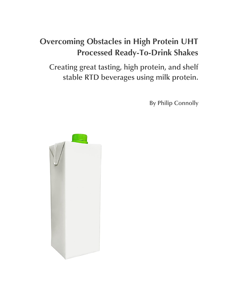# **Overcoming Obstacles in High Protein UHT Processed Ready-To-Drink Shakes**

Creating great tasting, high protein, and shelf stable RTD beverages using milk protein.

**By Philip Connolly** 

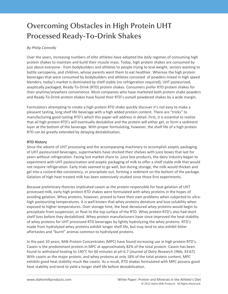# **Overcoming Obstacles in High Protein UHT Processed Ready-To-Drink Shakes**

# *By Philip Connolly*

Over the years, increasing numbers of elite athletes have adopted the daily regimen of consuming hig<br>protein shakes to maintain and build their muscle mass. Today, high protein shakes are consumed by Over the years, increasing numbers of elite athletes have adopted the daily regimen of consuming high just about everyone - from bodybuilders and athletes to people trying to lose weight, seniors wanting to battle sarcopenia, and children, whose parents want them to eat healthier. Whereas the high protein beverages that were consumed by bodybuilders and athletes consisted of powders mixed in high speed blenders, today's market is dominated by shelf stable (no refrigeration required), UHT pasteurized, aseptically packaged, Ready-To-Drink (RTD) protein shakes. Consumers prefer RTD protein shakes for their anytime/anywhere convenience. Most companies who have marketed both protein shake powders and Ready-To-Drink protein shakes have found their RTD's outsell powdered shakes by a wide margin.

Formulators attempting to create a high protein RTD shake quickly discover it's not easy to make a pleasant tasting, long shelf life beverage with a high added protein content. There are "tricks" to manufacturing good tasting RTD's which this paper will address in detail. First, it is essential to realize that all high protein RTD's will eventually destabilize and the protein will either gel, or form a sediment layer at the bottom of the beverage. With proper formulating, however, the shelf life of a high protein RTD can be greatly extended by delaying destabilization.

# **RTD History**

Since the advent of UHT processing and the accompanying machinery to accomplish aseptic packaging of UHT pasteurized beverages, supermarkets have stocked their shelves with juice boxes that last for years without refrigeration. Facing lost market share to juice box products, the dairy industry began to experiment with UHT pasteurization and aseptic packaging of milk to offer a shelf stable milk that would not require refrigeration. Early trials seemed to go well, but during storage, the milk would thicken and gel into a custard-like consistency, or precipitate out, forming a sediment on the bottom of the package. Gelation of high heat treated milk has been extensively studied since those first experiments.

Because preliminary theories implicated casein as the protein responsible for heat gelation of UHT processed milk, early high protein RTD shakes were formulated with whey proteins in the hopes of avoiding gelation. Whey proteins, however, proved to have their own problems when subjected to ultrahigh pasteurizing temperatures. It is well known that whey proteins denature and lose solubility when exposed to higher temperatures. Over storage time, the heat denatured whey proteins would begin to precipitate from suspension, or float to the top surface of the RTD. Whey protein RTD's also had short shelf lives before they destabilized. Whey protein manufacturers have since improved the heat stability of whey proteins for UHT processed RTD beverages by lightly hydrolyzing the whey proteins. RTD's made from hydrolyzed whey proteins exhibit longer shelf life, but may tend to also exhibit bitter aftertastes and "burnt" aromas common to hydrolyzed proteins.

In the past 10 years, Milk Protein Concentrates (MPC) have found increasing use in high protein RTD's. Casein is the predominant protein in MPC at approximately 82% of the total protein. Casein has been found to withstand heating to 140°C for 60 minutes at pH 6.7 (*Journal of Dairy Research* 1966; 33:67). With casein as the major protein, and whey proteins at only 18% of the total protein content, MPC exhibits good heat stability much like casein. As a result, RTD shakes formulated with MPC possess good heat stability and tend to yield a longer shelf life before destabilization.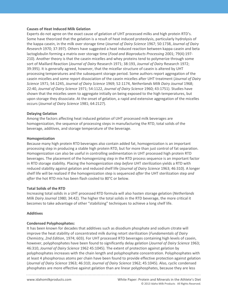#### **Causes of Heat Induced Milk Gelation**

210). Another theory is that the casein micelles and whey proteins tend to polymerize through some Experts do not agree on the exact cause of gelation of UHT processed milks and high protein RTD's. Some have theorized that the gelation is a result of heat induced proteolysis, particularly hydrolysis of the kappa casein, in the milk over storage time (*Journal of Dairy Science* 1967; 50:1738, *Journal of Dairy Research* 1970; 37:397). Others have suggested a heat induced reaction between kappa casein and beta lactoglobulin forming a matrix over storage time (*Food and Bioproducts Processing* 2001; 79(4):197 sort of Maillard Reaction (*Journal of Dairy* Research 1971; 38:193, *Journal of Dairy* Research 1972; 39:395). It is generally agreed, however, that the micellar structure of casein is altered by UHT processing temperatures and the subsequent storage period. Some authors report aggregation of the casein micelles and some report dissociation of the casein micelles after UHT treatment (*Journal of Dairy Science* 1971; 54:1245, *Journal of Dairy Science* 1969; 52:1174, *Netherlands Milk Dairy Journal* 1968; 22:40, *Journal of Dairy Science* 1971; 54:1122, *Journal of Dairy Science* 1960; 43:1751). Studies have shown that the micelles seem to aggregate initially on being exposed to the high temperatures, but upon storage they dissociate. At the onset of gelation, a rapid and extensive aggregation of the micelles occurs (*Journal of Dairy Science* 1981; 64:2127).

#### **Delaying Gelation**

Among the factors affecting heat induced gelation of UHT processed milk beverages are homogenization, the sequence of processing steps in manufacturing the RTD, total solids of the beverage, additives, and storage temperature of the beverage.

#### **Homogenization**

Because many high protein RTD beverages also contain added fat, homogenization is an important processing step in producing a stable high protein RTD, but for more than just control of fat separation. Homogenization can also be useful in controlling sedimentation in UHT processed high protein RTD beverages. The placement of the homogenizing step in the RTD process sequence is an important factor in RTD storage stability. Placing the homogenization step *before* UHT sterilization yields a RTD with reduced stability against gelation and reduced shelf life (*Journal of Dairy Science* 1963; 46:310). A longer shelf life will be realized if the homogenization step is sequenced *after* the UHT sterilization step *and after* the hot RTD mix has been flash cooled to 80°C or below.

# **Total Solids of the RTD**

Increasing total solids in a UHT processed RTD formula will also hasten storage gelation (*Netherlands Milk Dairy Journal* 1980; 34:42). The higher the total solids in the RTD beverage, the more critical it becomes to take advantage of other "stabilizing" techniques to achieve a long shelf life.

# **Additives**

# **Condensed Polyphosphates:**

It has been known for decades that additives such as disodium phosphate and sodium citrate will improve the heat stability of concentrated milk during retort sterilization (*Fundamentals of Dairy Chemistry*, *2nd Edition*, 1974; 603). For UHT processed RTD beverages containing high levels of casein, however, polyphosphates have been found to significantly delay gelation (*Journal of Dairy Science* 1963; 46:310, *Journal of Dairy Science* 1962 45:1045). The extent of protection against gelation by polyphosphates increases with the chain length and polyphosphate concentration. Polyphosphates with at least 4 phosphorous atoms per chain have been found to provide effective protection against gelation (*Journal of Dairy Science* 1963; 46:310; *Journal of Dairy Science* 1962; 45:1045). Also, cyclic condensed phosphates are more effective against gelation than are linear polyphosphates, because they are less